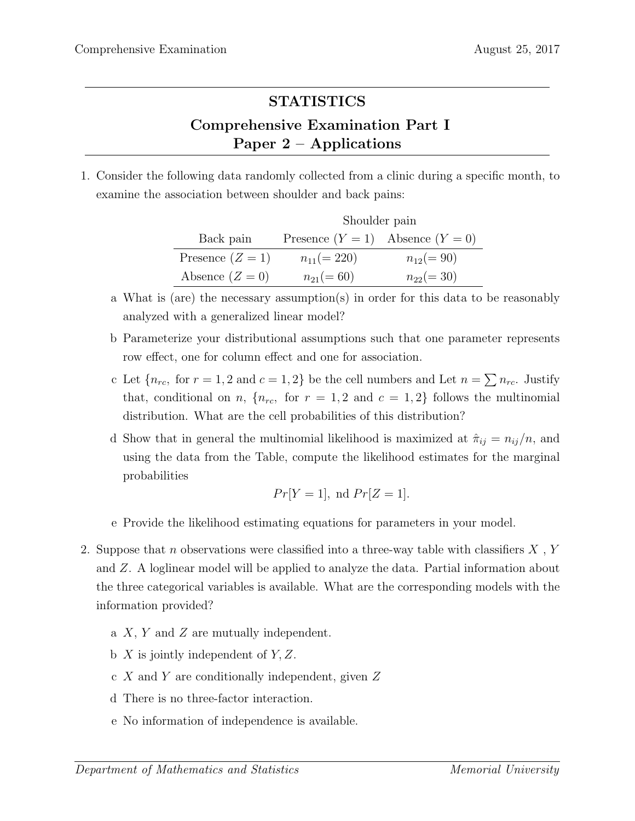## STATISTICS

## Comprehensive Examination Part I Paper 2 – Applications

1. Consider the following data randomly collected from a clinic during a specific month, to examine the association between shoulder and back pains:

|                    | Shoulder pain                        |               |  |  |  |  |
|--------------------|--------------------------------------|---------------|--|--|--|--|
| Back pain          | Presence $(Y = 1)$ Absence $(Y = 0)$ |               |  |  |  |  |
| Presence $(Z = 1)$ | $n_{11} (= 220)$                     | $n_{12}(=90)$ |  |  |  |  |
| Absence $(Z=0)$    | $n_{21}(=60)$                        | $n_{22}(=30)$ |  |  |  |  |

- a What is (are) the necessary assumption(s) in order for this data to be reasonably analyzed with a generalized linear model?
- b Parameterize your distributional assumptions such that one parameter represents row effect, one for column effect and one for association.
- c Let  ${n_{rc}}$ , for  $r = 1, 2$  and  $c = 1, 2$  be the cell numbers and Let  $n = \sum n_{rc}$ . Justify that, conditional on n,  $\{n_{rc}, \text{ for } r = 1, 2 \text{ and } c = 1, 2\}$  follows the multinomial distribution. What are the cell probabilities of this distribution?
- d Show that in general the multinomial likelihood is maximized at  $\hat{\pi}_{ij} = n_{ij}/n$ , and using the data from the Table, compute the likelihood estimates for the marginal probabilities

$$
Pr[Y = 1], \text{ nd } Pr[Z = 1].
$$

- e Provide the likelihood estimating equations for parameters in your model.
- 2. Suppose that n observations were classified into a three-way table with classifiers  $X$ ,  $Y$ and Z. A loglinear model will be applied to analyze the data. Partial information about the three categorical variables is available. What are the corresponding models with the information provided?
	- a  $X, Y$  and  $Z$  are mutually independent.
	- b  $X$  is jointly independent of  $Y, Z$ .
	- c X and Y are conditionally independent, given Z
	- d There is no three-factor interaction.
	- e No information of independence is available.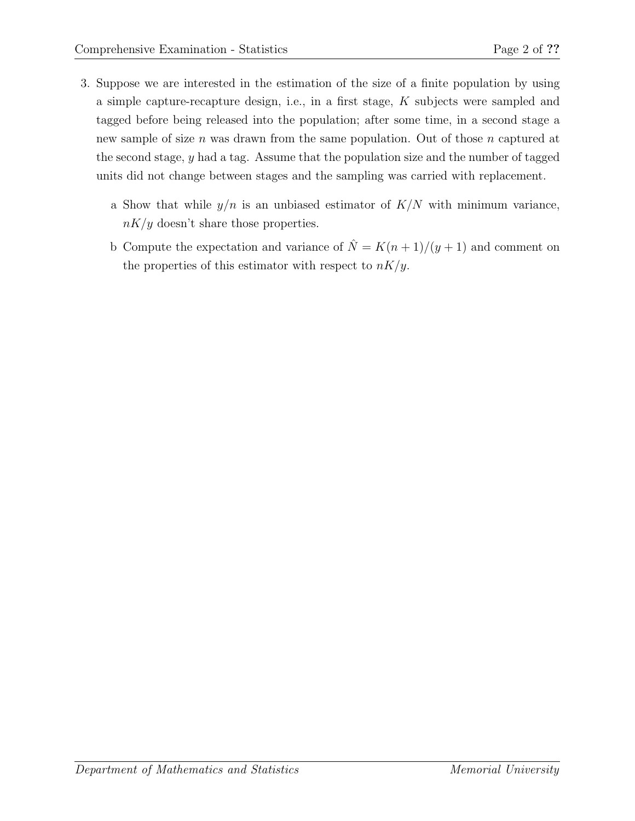- 3. Suppose we are interested in the estimation of the size of a finite population by using a simple capture-recapture design, i.e., in a first stage, K subjects were sampled and tagged before being released into the population; after some time, in a second stage a new sample of size n was drawn from the same population. Out of those n captured at the second stage, y had a tag. Assume that the population size and the number of tagged units did not change between stages and the sampling was carried with replacement.
	- a Show that while  $y/n$  is an unbiased estimator of  $K/N$  with minimum variance,  $nK/y$  doesn't share those properties.
	- b Compute the expectation and variance of  $\hat{N} = K(n+1)/(y+1)$  and comment on the properties of this estimator with respect to  $nK/y$ .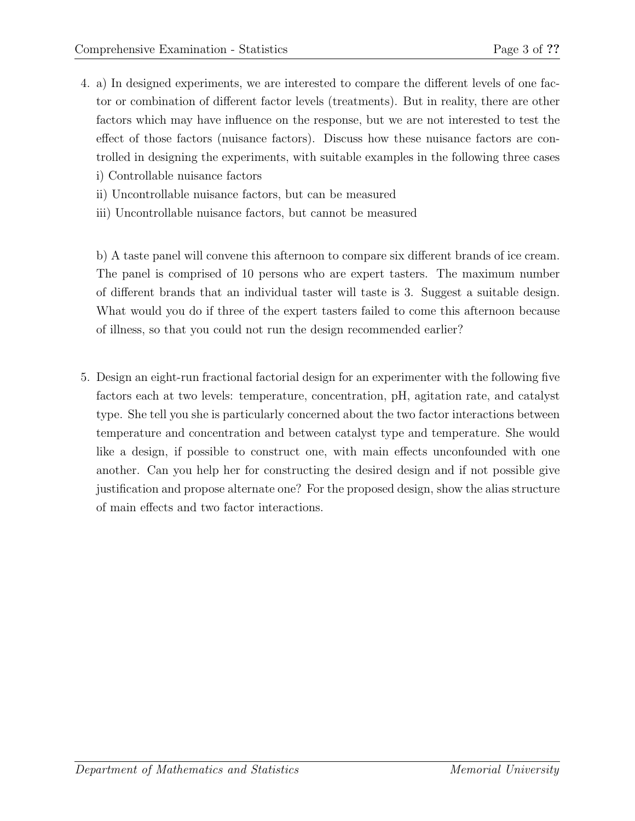- 4. a) In designed experiments, we are interested to compare the different levels of one factor or combination of different factor levels (treatments). But in reality, there are other factors which may have influence on the response, but we are not interested to test the effect of those factors (nuisance factors). Discuss how these nuisance factors are controlled in designing the experiments, with suitable examples in the following three cases
	- i) Controllable nuisance factors
	- ii) Uncontrollable nuisance factors, but can be measured
	- iii) Uncontrollable nuisance factors, but cannot be measured

b) A taste panel will convene this afternoon to compare six different brands of ice cream. The panel is comprised of 10 persons who are expert tasters. The maximum number of different brands that an individual taster will taste is 3. Suggest a suitable design. What would you do if three of the expert tasters failed to come this afternoon because of illness, so that you could not run the design recommended earlier?

5. Design an eight-run fractional factorial design for an experimenter with the following five factors each at two levels: temperature, concentration, pH, agitation rate, and catalyst type. She tell you she is particularly concerned about the two factor interactions between temperature and concentration and between catalyst type and temperature. She would like a design, if possible to construct one, with main effects unconfounded with one another. Can you help her for constructing the desired design and if not possible give justification and propose alternate one? For the proposed design, show the alias structure of main effects and two factor interactions.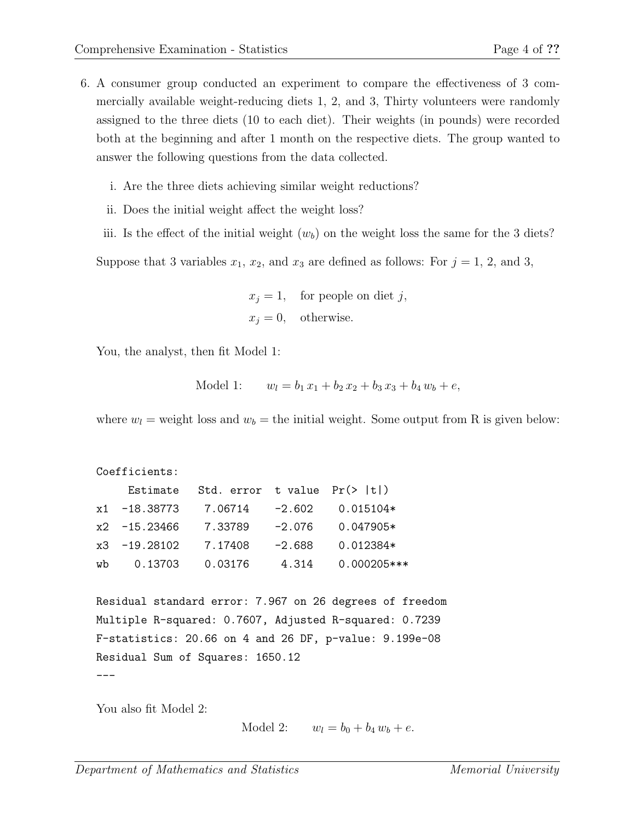- 6. A consumer group conducted an experiment to compare the effectiveness of 3 commercially available weight-reducing diets 1, 2, and 3, Thirty volunteers were randomly assigned to the three diets (10 to each diet). Their weights (in pounds) were recorded both at the beginning and after 1 month on the respective diets. The group wanted to answer the following questions from the data collected.
	- i. Are the three diets achieving similar weight reductions?
	- ii. Does the initial weight affect the weight loss?
	- iii. Is the effect of the initial weight  $(w_b)$  on the weight loss the same for the 3 diets?

Suppose that 3 variables  $x_1, x_2$ , and  $x_3$  are defined as follows: For  $j = 1, 2,$  and 3,

 $x_j = 1$ , for people on diet j,  $x_i = 0$ , otherwise.

You, the analyst, then fit Model 1:

Model 1: 
$$
w_l = b_1 x_1 + b_2 x_2 + b_3 x_3 + b_4 w_b + e
$$
,

where  $w_l$  = weight loss and  $w_b$  = the initial weight. Some output from R is given below:

```
Coefficients:
    Estimate Std. error t value Pr(> |t|)x1 -18.38773 7.06714 -2.602 0.015104*
x2 -15.23466 7.33789 -2.076 0.047905*
x3 -19.28102 7.17408 -2.688 0.012384*
wb 0.13703 0.03176 4.314 0.000205***
```

```
Residual standard error: 7.967 on 26 degrees of freedom
Multiple R-squared: 0.7607, Adjusted R-squared: 0.7239
F-statistics: 20.66 on 4 and 26 DF, p-value: 9.199e-08
Residual Sum of Squares: 1650.12
---
```
You also fit Model 2:

Model 2:  $w_l = b_0 + b_4 w_b + e$ .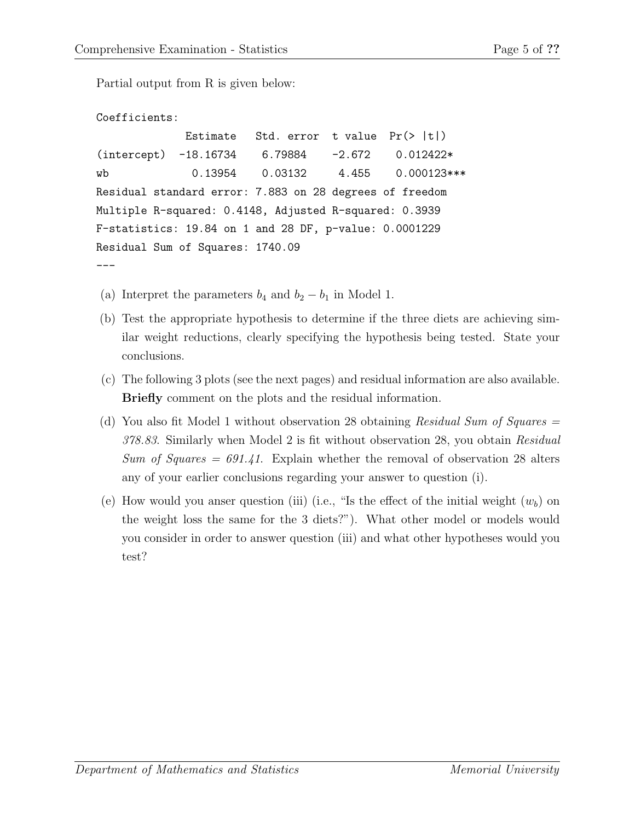Partial output from R is given below:

```
Coefficients:
            Estimate Std. error t value Pr(> |t|)(intercept) -18.16734 6.79884 -2.672 0.012422*
wb 0.13954 0.03132 4.455 0.000123***
Residual standard error: 7.883 on 28 degrees of freedom
Multiple R-squared: 0.4148, Adjusted R-squared: 0.3939
F-statistics: 19.84 on 1 and 28 DF, p-value: 0.0001229
Residual Sum of Squares: 1740.09
---
```
- (a) Interpret the parameters  $b_4$  and  $b_2 b_1$  in Model 1.
- (b) Test the appropriate hypothesis to determine if the three diets are achieving similar weight reductions, clearly specifying the hypothesis being tested. State your conclusions.
- (c) The following 3 plots (see the next pages) and residual information are also available. Briefly comment on the plots and the residual information.
- (d) You also fit Model 1 without observation 28 obtaining Residual Sum of Squares  $=$ 378.83. Similarly when Model 2 is fit without observation 28, you obtain Residual Sum of Squares  $= 691.41$ . Explain whether the removal of observation 28 alters any of your earlier conclusions regarding your answer to question (i).
- (e) How would you anser question (iii) (i.e., "Is the effect of the initial weight  $(w_b)$  on the weight loss the same for the 3 diets?"). What other model or models would you consider in order to answer question (iii) and what other hypotheses would you test?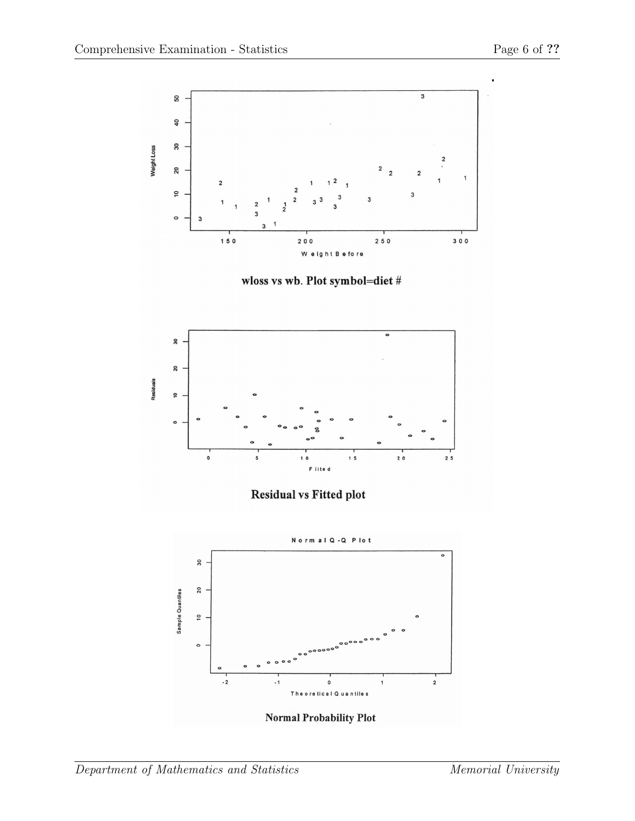